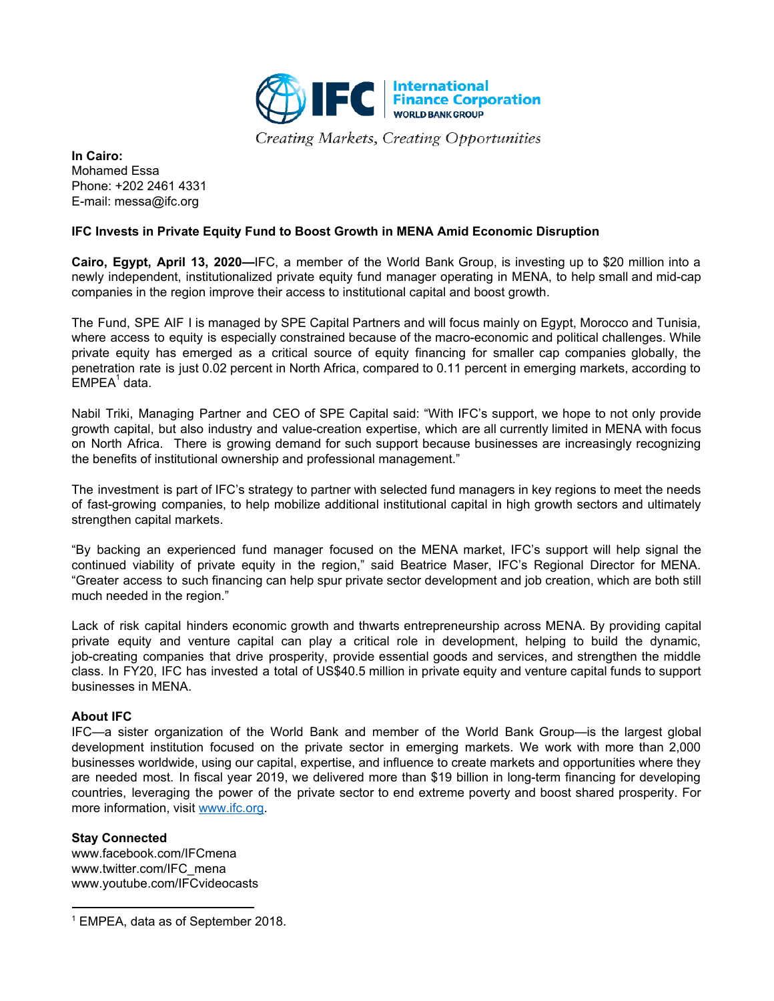

Creating Markets, Creating Opportunities

**In Cairo:** Mohamed Essa Phone: +202 2461 4331 E-mail: messa@ifc.org

## **IFC Invests in Private Equity Fund to Boost Growth in MENA Amid Economic Disruption**

**Cairo, Egypt, April 13, 2020—**IFC, a member of the World Bank Group, is investing up to \$20 million into a newly independent, institutionalized private equity fund manager operating in MENA, to help small and mid-cap companies in the region improve their access to institutional capital and boost growth.

The Fund, SPE AIF I is managed by SPE Capital Partners and will focus mainly on Egypt, Morocco and Tunisia, where access to equity is especially constrained because of the macro-economic and political challenges. While private equity has emerged as a critical source of equity financing for smaller cap companies globally, the penetration rate is just 0.02 percent in North Africa, compared to 0.11 percent in emerging markets, according to .<br>EMPEA<sup>1</sup> data.

Nabil Triki, Managing Partner and CEO of SPE Capital said: "With IFC's support, we hope to not only provide growth capital, but also industry and value-creation expertise, which are all currently limited in MENA with focus on North Africa. There is growing demand for such support because businesses are increasingly recognizing the benefits of institutional ownership and professional management."

The investment is part of IFC's strategy to partner with selected fund managers in key regions to meet the needs of fast-growing companies, to help mobilize additional institutional capital in high growth sectors and ultimately strengthen capital markets.

"By backing an experienced fund manager focused on the MENA market, IFC's support will help signal the continued viability of private equity in the region," said Beatrice Maser, IFC's Regional Director for MENA. "Greater access to such financing can help spur private sector development and job creation, which are both still much needed in the region."

Lack of risk capital hinders economic growth and thwarts entrepreneurship across MENA. By providing capital private equity and venture capital can play a critical role in development, helping to build the dynamic, job-creating companies that drive prosperity, provide essential goods and services, and strengthen the middle class. In FY20, IFC has invested a total of US\$40.5 million in private equity and venture capital funds to support businesses in MENA.

## **About IFC**

IFC—a sister organization of the World Bank and member of the World Bank Group—is the largest global development institution focused on the private sector in emerging markets. We work with more than 2,000 businesses worldwide, using our capital, expertise, and influence to create markets and opportunities where they are needed most. In fiscal year 2019, we delivered more than \$19 billion in long-term financing for developing countries, leveraging the power of the private sector to end extreme poverty and boost shared prosperity. For more information, visit [www.ifc.org.](http://www.ifc.org/)

## **Stay Connected**

www.facebook.com/IFCmena www.twitter.com/IFC\_mena www.youtube.com/IFCvideocasts

<sup>1</sup> EMPEA, data as of September 2018.